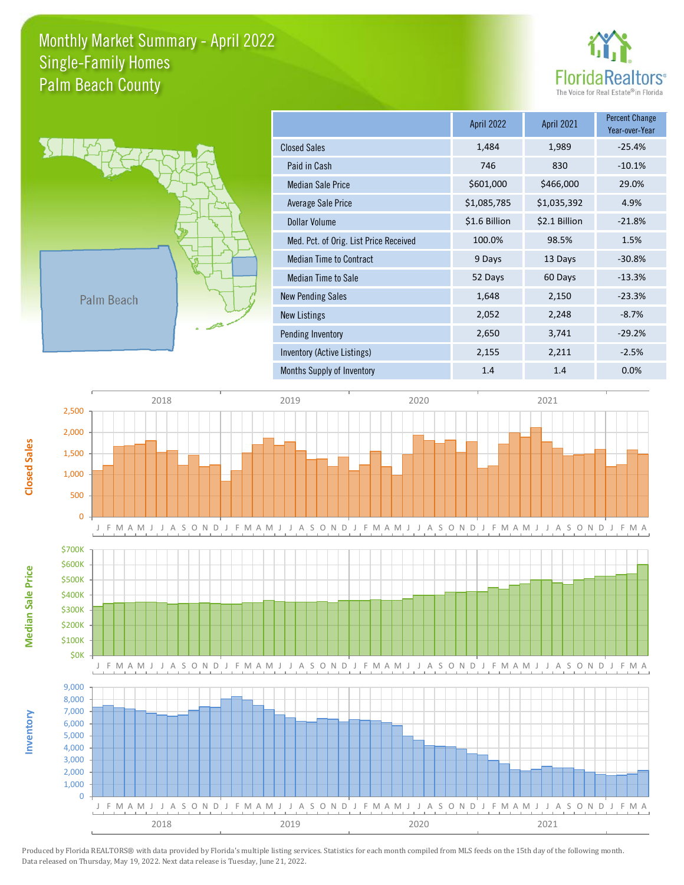## Monthly Market Summary - April 2022 Palm Beach County Single-Family Homes





|                                        | <b>April 2022</b> | <b>April 2021</b> | <b>Percent Change</b><br>Year-over-Year |
|----------------------------------------|-------------------|-------------------|-----------------------------------------|
| <b>Closed Sales</b>                    | 1,484             | 1,989             | $-25.4%$                                |
| Paid in Cash                           | 746               | 830               | $-10.1%$                                |
| <b>Median Sale Price</b>               | \$601,000         | \$466,000         | 29.0%                                   |
| Average Sale Price                     | \$1,085,785       | \$1,035,392       | 4.9%                                    |
| <b>Dollar Volume</b>                   | \$1.6 Billion     | \$2.1 Billion     | $-21.8%$                                |
| Med. Pct. of Orig. List Price Received | 100.0%            | 98.5%             | 1.5%                                    |
| <b>Median Time to Contract</b>         | 9 Days            | 13 Days           | $-30.8%$                                |
| Median Time to Sale                    | 52 Days           | 60 Days           | $-13.3%$                                |
| <b>New Pending Sales</b>               | 1,648             | 2,150             | $-23.3%$                                |
| <b>New Listings</b>                    | 2,052             | 2,248             | $-8.7%$                                 |
| Pending Inventory                      | 2,650             | 3,741             | $-29.2%$                                |
| Inventory (Active Listings)            | 2,155             | 2,211             | $-2.5%$                                 |
| Months Supply of Inventory             | 1.4               | 1.4               | 0.0%                                    |



Produced by Florida REALTORS® with data provided by Florida's multiple listing services. Statistics for each month compiled from MLS feeds on the 15th day of the following month. Data released on Thursday, May 19, 2022. Next data release is Tuesday, June 21, 2022.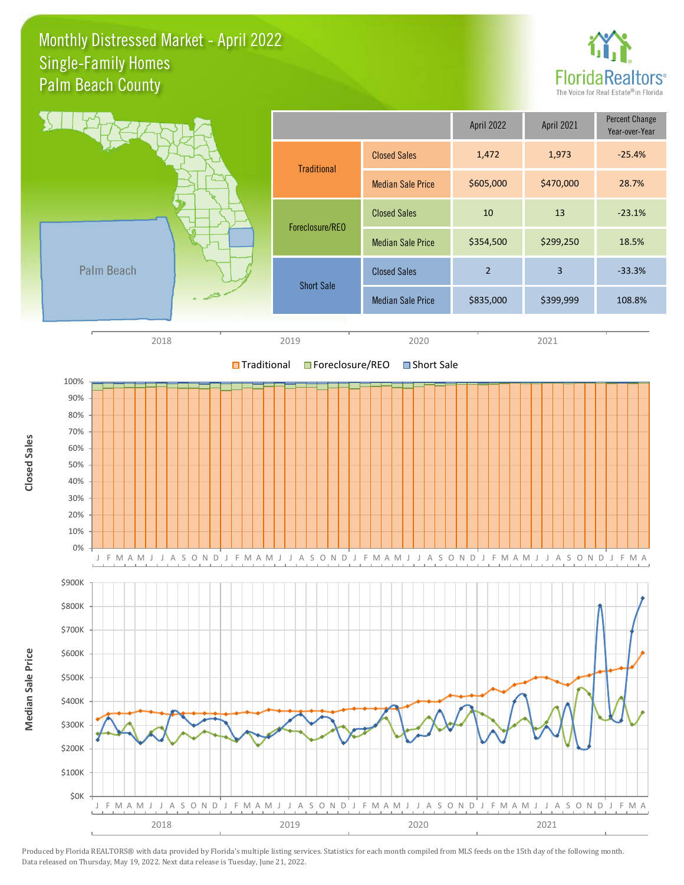## Monthly Distressed Market - April 2022 Palm Beach County Single-Family Homes





Produced by Florida REALTORS® with data provided by Florida's multiple listing services. Statistics for each month compiled from MLS feeds on the 15th day of the following month. Data released on Thursday, May 19, 2022. Next data release is Tuesday, June 21, 2022.

**Closed Sales**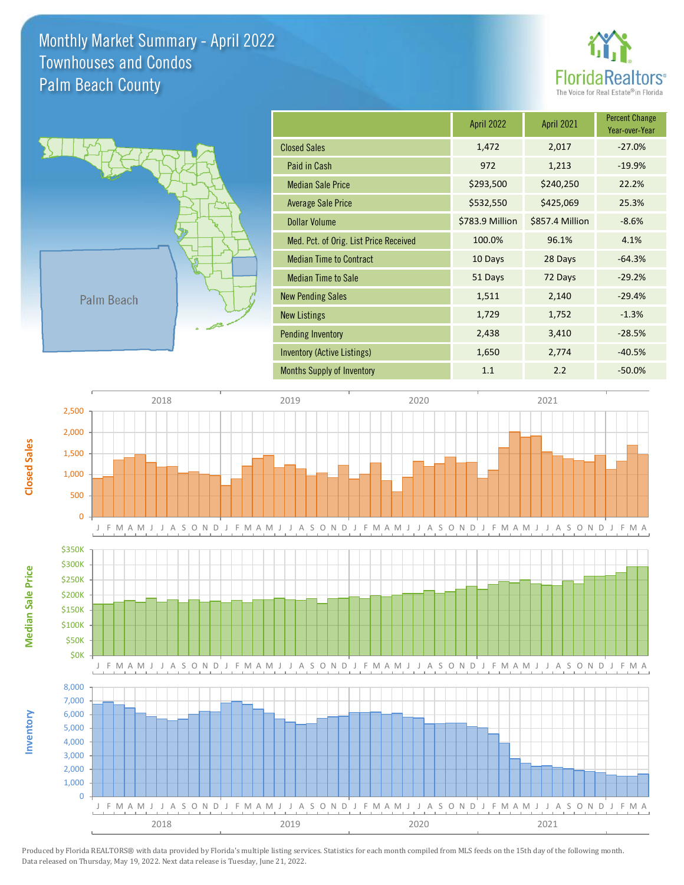Monthly Market Summary - April 2022 Palm Beach County Townhouses and Condos





**Inventory**

**Median Sale Price**

**Median Sale Price** 

**Closed Sales**

|                                        | <b>April 2022</b> | <b>April 2021</b> | <b>Percent Change</b><br>Year-over-Year |
|----------------------------------------|-------------------|-------------------|-----------------------------------------|
| <b>Closed Sales</b>                    | 1,472             | 2,017             | $-27.0%$                                |
| Paid in Cash                           | 972               | 1,213             | $-19.9%$                                |
| <b>Median Sale Price</b>               | \$293,500         | \$240,250         | 22.2%                                   |
| <b>Average Sale Price</b>              | \$532,550         | \$425,069         | 25.3%                                   |
| <b>Dollar Volume</b>                   | \$783.9 Million   | \$857.4 Million   | $-8.6%$                                 |
| Med. Pct. of Orig. List Price Received | 100.0%            | 96.1%             | 4.1%                                    |
| <b>Median Time to Contract</b>         | 10 Days           | 28 Days           | $-64.3%$                                |
| <b>Median Time to Sale</b>             | 51 Days           | 72 Days           | $-29.2%$                                |
| <b>New Pending Sales</b>               | 1,511             | 2,140             | $-29.4%$                                |
| <b>New Listings</b>                    | 1,729             | 1,752             | $-1.3%$                                 |
| <b>Pending Inventory</b>               | 2,438             | 3,410             | $-28.5%$                                |
| Inventory (Active Listings)            | 1,650             | 2,774             | $-40.5%$                                |
| <b>Months Supply of Inventory</b>      | 1.1               | 2.2               | $-50.0%$                                |



Produced by Florida REALTORS® with data provided by Florida's multiple listing services. Statistics for each month compiled from MLS feeds on the 15th day of the following month. Data released on Thursday, May 19, 2022. Next data release is Tuesday, June 21, 2022.